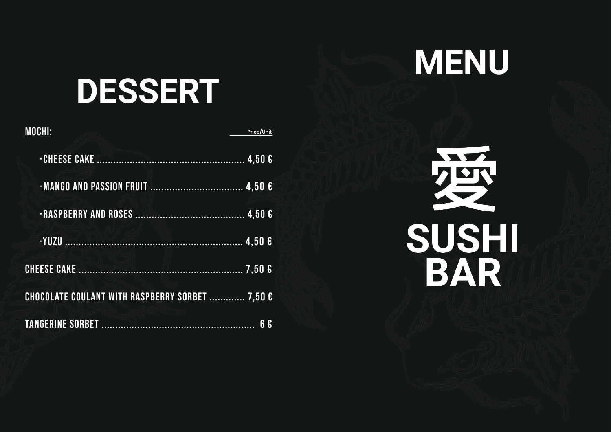

# **DESSERT**

| <b>MOCHI:</b>                                   | Price/Unit        |
|-------------------------------------------------|-------------------|
|                                                 |                   |
|                                                 |                   |
|                                                 |                   |
|                                                 |                   |
|                                                 |                   |
| CHOCOLATE COULANT WITH RASPBERRY SORBET  7,50 € |                   |
|                                                 | $\mathbf{f}$<br>6 |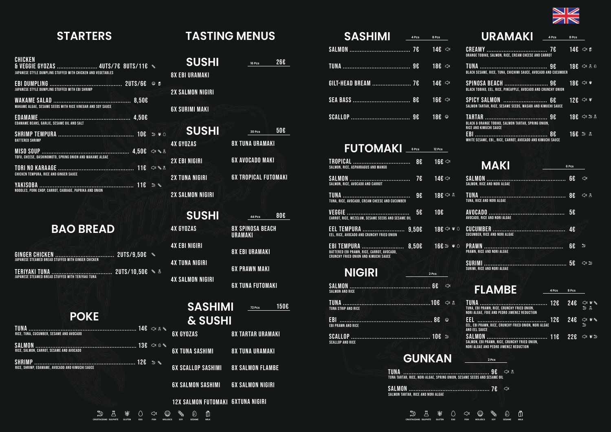**CRUSTACEANS SULPHITE GLUTEN EGG FISH MOLUSCS SOY SESAME MILK**

g

◎ 八



| $\textbf{SASHIMI}$ $\textcolor{red}{\textbf{4}^{\text{PCS}}}\textcolor{red}{\textbf{8}^{\text{PCS}}}\textcolor{red}{.}$ |  |
|-------------------------------------------------------------------------------------------------------------------------|--|
|                                                                                                                         |  |
|                                                                                                                         |  |
|                                                                                                                         |  |
|                                                                                                                         |  |
|                                                                                                                         |  |

## Salmon, Rice, Asparragus and Mango Salmon, Rice, Avocado and Carrot Tuna, Rice, Avocado, Cream Cheese and Cucumber Carrot, Rice, Mezclum, Sesame Seeds and Sesame Oil Eel, Rice, Avocado and Crunchy Fried Onion Battered Ebi Prawn, Rice, Carrot, Avocado, Crunchy Fried Onion and Kimuchi Sauce 8€ TROPICAL .................................. 7€ SALMoN .................................... 9€ tuna ........................................ 5€ VEGGIE ..................................... 9,50€ EEL TEMPURA ......................... EBI TEMPURA ................................. 8,50€ 16€  $146 \approx$ 18€ ⇔ ∆ 10€ 18€ ≪ \* \* ○ 16€ 5 # 0 **FUTOMAKI 6 Pcs 12 Pcs** Salmon and Rice Tuna Strip and Rice Ebi Prawn and Rice Scallop and Rice **NIGIRI 2 Pcs** SALMoN ................................................ 6€ TUNA ....................................................10€ EBI ....................................................... 8€ sCALLOP ............................................... 10€

## GUNKAN

**CRUSTACEANS SULPHITE GLUTEN EGG** 

**4 Pcs**

## **STARTERS TASTING MENUS**

## **BAO BREAD**

| URAMAKI 4PCS                                                                    | 8 Pcs                          |                         |
|---------------------------------------------------------------------------------|--------------------------------|-------------------------|
| ORANGE TOBIKO, SALMON, RICE, CREAM CHEESE AND CARROT                            |                                |                         |
| BLACK SESAME, RICE, TUNA, CHICHIMI SAUCE, AVOCADO AND CUCUMBER                  |                                |                         |
| BLACK TOBIKO, EEL, RICE, PINEAPPLE, AVOCADO AND CRUNCHY ONION                   | $18E \cong$                    |                         |
| SPICY SALMON  6€<br>SALMON TARTAR. RICE. SESAME SEEDS. WASABI AND KIMUCHI SAUCE | 12 $\epsilon \rightsquigarrow$ |                         |
| BLACK & ORANGE TOBIKO, SALMON TARTAR, SPRING ONION,<br>RICE AND KIMUCHI SAUCE   |                                | $18E \Leftrightarrow B$ |
| WHITE SESAME, EBI,, RICE, CARROT, AVOCADO AND KIMUCHI SAUCE                     | 16€ <sup>3</sup> 4             |                         |

## **MAKI** *6 PCs*

## **POKE**

| <b>SUSHI</b>            | 266<br>16 Pcs                      |
|-------------------------|------------------------------------|
| <b>8X EBI URAMAKI</b>   |                                    |
| <b>2X SALMON NIGIRI</b> |                                    |
| <b>6X SURIMI MAKI</b>   |                                    |
| <b>SUSHI</b>            | <b>50€</b><br>30 Pcs               |
| <b>4X GYOZAS</b>        | <b>8X TUNA URAMAKI</b>             |
| <b>2X EBI NIGIRI</b>    | <b>6X AVOCADO MAKI</b>             |
| <b>2X TUNA NIGIRI</b>   | <b>6X TROPICAL FUTOMAKI</b>        |
| <b>2X SALMON NIGIRI</b> |                                    |
| <b>SUSHI</b>            | 80€<br>44 Pcs                      |
| <b>4X GYOZAS</b>        | 8X SPINOSA BEACH<br><b>URAMAKI</b> |
| <b>4X EBI NIGIRI</b>    | <b>8X EBI URAMAKI</b>              |
| <b>4X TUNA NIGIRI</b>   | <b>6X PRAWN MAKI</b>               |
| <b>4X SALMON NIGIRI</b> | <b>6X TUNA FUTOMAKI</b>            |
| <b>SASHIMI</b>          | 150€<br>72 Pcs                     |

| SALMON. RICE AND NORI ALGAE       | 6€             | ⇔            |
|-----------------------------------|----------------|--------------|
| TUNA, RICE AND NORI ALGAE         |                | ্য<br>八      |
| AVOCADO. RICE AND NORI ALGAE      | 56             |              |
| CUCUMBER, RICE AND NORI ALGAE     | 4 <sub>€</sub> |              |
| <b>PRAWN. RICE AND NORI ALGAE</b> | 6£             | $\mathbb{D}$ |
| SURIMI. RICE AND NORI ALGAE       |                | ಶ            |

## **FLAMBE**

## **& SUSHI**

6x gyozas 6x tuna sashimi 6x scallop sashimi 6x salmon sashimi 6x salmon nigiri 8x tartar uramaki 8x tuna uramaki

12x salmon futomaki 6xtuna nigiri

| <b>8X SALMON FLAMBE</b> |  |
|-------------------------|--|
|                         |  |
| AV AAL MAN MIAINI       |  |

| CHICKEN<br>JAPANESE STYLE DUMPLING STUFFED WITH CHICKEN AND VEGETABLES                        |  |  |
|-----------------------------------------------------------------------------------------------|--|--|
| JAPANESE STYLE DUMPLING STUFFED WITH EBI SHRIMP                                               |  |  |
| WAKAME ALGAE, SESAME SEEDS WITH RICE VINEGAR AND SOY SAUCE                                    |  |  |
| EDAMAME BEANS, GARLIC, SESAME OIL AND SALT                                                    |  |  |
| <b>BATTERED SHRIMP</b>                                                                        |  |  |
| TOFU, CHEESE, DASHINOMOTO, SPRING ONION AND WAKAME ALGAE                                      |  |  |
| <b>CHICKEN TEMPURA, RICE AND GINGER SAUCE</b>                                                 |  |  |
| YAKISOBA ……………………………………………… 11€ → S<br>NOODLES, PORK CHOP, CARROT, CABBAGE, PAPRIKA AND ONION |  |  |

| TUNA, EBI PRAWN, RICE, CRUNCHY FRIED ONION,<br>NORI ALGAE. FOIE AND PEDRO JIMENEZ REDUCTION                                                                                                                            |  |  |
|------------------------------------------------------------------------------------------------------------------------------------------------------------------------------------------------------------------------|--|--|
| EEL, EBI PRAWN, RICE, CRUNCHY FRIED ONION, NORI ALGAE<br>AND EEL SAUCE.                                                                                                                                                |  |  |
| SALMON $\ldots$ $\ldots$ $\ldots$ $\ldots$ $\ldots$ $\ldots$ $\ldots$ $\ldots$ $\ldots$ $\ldots$ $\ldots$ $\ldots$ $\ldots$<br>SALMON, EBI PRAWN, RICE, CRUNCHY FRIED ONION,<br>NORI ALGAE AND PEDRO JIMENEZ REDUCTION |  |  |

| <b>TUNA</b><br>SAN BENDER STATE OF THE SERVICE OF THE SERVICE OF THE SERVICE OF THE SERVICE OF THE SERVICE OF THE SERVICE OF THE SERVICE OF THE SERVICE OF THE SERVICE OF THE SERVICE OF THE SERVICE OF THE SERVICE OF THE SERVICE OF THE SER |  |
|-----------------------------------------------------------------------------------------------------------------------------------------------------------------------------------------------------------------------------------------------|--|
| TUNA TARTAR. RICE. NORI ALGAE. SPRING ONION. SESAME SEEDS AND SESAME OIL                                                                                                                                                                      |  |

7€ SALMON ................................................ Salmon Tartar, Rice and Nori Algae

| JAPANESE STEAMED BREAD STUFFED WITH GINGER CHICKEN |  |
|----------------------------------------------------|--|
| JAPANESE STEAMED BREAD STUFFED WITH TERIYAKI TUNA  |  |

tUNA ................................................................ 14€ RICE, TUNA, CUCUMBER, SESAME AND AVOCADO sALM0N ............................................................ 13€ RICE, SALMON, CARROT, SESAME AND AVOCADO SHRIMP ............................................................ 12€ RICE, SHRIMP, EDAMAME, AVOCADO AND KIMUCHI SAUCE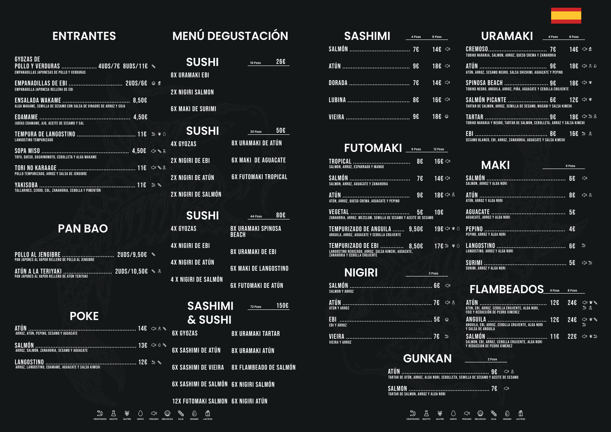7€ Salmón .................................... 9€ Atún ........................................ 7€ Dorada .................................... 8€ lubina ..................................... 9€ Vieira ...................................... 14€ 18€ 14€ 16€ 18€ **SASHIMI 4 Pzas 8 Pzas**

| <b>FUTOMAKI 6 PZGS</b> 12 Pzas                                                                                                 |                          |
|--------------------------------------------------------------------------------------------------------------------------------|--------------------------|
|                                                                                                                                | 8€ 1<br>16 $\varepsilon$ |
|                                                                                                                                | 7€ 14€ →                 |
| ATÚN                                                                                                                           | 18€ < 2 A<br>96          |
| VEGÉTAL<br>ZANAHORIA, ARROZ, MEZCLUM, SEMILLA DE SESAMO Y ACEITE DE SESAMO                                                     | 5€ 1<br>106              |
| TEMPURIZADO DE ANGUILA  9,50€<br>ANGUILA, ARROZ, AGUACATE Y CEBOLLA CRUJIENTE                                                  | 19€ <> *                 |
| <b>TEMPURIZADO DE EBI  8,50€ 17E »</b><br>Langostino rebozado, arroz, salsa kimchi, aguacate,<br>zanahoria y cebolla crujiente |                          |
| <b>NIGIRI</b>                                                                                                                  | 2 Pzas                   |
| <b>SALMON Y ARROZ</b>                                                                                                          | $\infty$                 |
| <b>ATÚN Y ARROZ</b>                                                                                                            |                          |
| EBI<br><b>EBI Y ARROZ</b>                                                                                                      | ⅏                        |
| <b>VIEIRA Y ARROZ</b>                                                                                                          | $\mathbb{D}$             |
|                                                                                                                                | C <sub>1</sub> INIV AN   |

## **MAKI 6 Pzas**

## **FLAMBEADOS 8 Pzas 4 Pzas**

Tartar de Atún, Arroz, Alga Nori, Cebolleta, Semilla de Sesamo y Aceite de Sesamo 9€ ATÚN ....................................................

**GUNKAN 2 Pzas**

Tartar de Salmon, Arroz y Alga Nori 7€ SALMON ................................................

S A S CO CA O S D A D CO CO DE SE SE CRUSTACEOS SULFITO GUITEN CRUSTACEOS SULFITO GUITEN CONTEN

## **ENTRANTES MENÚ DEGUSTACIÓN**

## **PAN BAO**

| URAMAKI 4PZGS 8PZGS                                                                                                                    |  |  |
|----------------------------------------------------------------------------------------------------------------------------------------|--|--|
| TOBIKO NARANJA. SALMON. ARROZ. QUESO CREMA Y ZANAHORIA                                                                                 |  |  |
| ATÚN ………… <del>………………………… 9€</del> 18€    ≈  ∆ ©<br>ATÚN, ARROZ, SESAMO NEGRO, SALSA SHICHIMI, AGUACATE Y PEPINO                       |  |  |
| SPINOSA BEACH ………………………… 9€ $\qquad$ 18€ $\qquad$ *<br>TOBIKO NEGRO, ANGUILA, ARROZ, PIÑA, AGUACATE Y CEBOLLA CRUJIENTE                |  |  |
| SALMÓN PICANTE $\overline{126}$ ( $\overline{3}$ ) $\overline{3}$<br>TARTAR DE SALMON, ARROZ, SEMILLA DE SESAMO, WASABI Y SALSA KIMCHI |  |  |
| TOBIKO NARANJA Y NEGRO, TARTAR DE SALMON, CEBOLLETA, ARROZ Y SALSA KIMCHI                                                              |  |  |
| SESAMO BLANCO, EBI, ARROZ, ZANAHORIA, AGUACATE Y SALSA KIMCHI                                                                          |  |  |

## **POKE**

| <b>SUSHI</b>               | 26€<br>16 Pzas                            |
|----------------------------|-------------------------------------------|
| <b>8X URAMAKI EBI</b>      |                                           |
| <b>2X NIGIRI SALMON</b>    |                                           |
| <b>6X MAKI DE SURIMI</b>   |                                           |
| <b>SUSHI</b>               | 50€<br>30 Pzas                            |
| <b>4X GYOZAS</b>           | 8X URAMAKI DE ATÚN                        |
| <b>2X NIGIRI DE EBI</b>    | <b>6X MAKI DE AGUACATE</b>                |
| 2X NIGIRI DE ATÚN          | <b>6X FUTOMAKI TROPICAL</b>               |
| <b>2X NIGIRI DE SALMÓN</b> |                                           |
| <b>SUSHI</b>               | <b>80€</b><br>44 Pzas                     |
| <b>4X GYOZAS</b>           | <b>8X URAMAKI SPINOSA</b><br><b>BEACH</b> |
| <b>4X NIGIRI DE EBI</b>    | <b>8X URAMAKI DE EBI</b>                  |
| <b>4X NIGIRI DE ATÚN</b>   | <b>6X MAKI DE LANGOSTINO</b>              |

4 x nigiri de salmón 6x futomaki de atún

| SALMON, ARROZ Y ALGA NORI          | 6€ |                 |
|------------------------------------|----|-----------------|
| ATÚN. ARROZ Y ALGA NORI            |    | $\approx$<br>八  |
| <b>AGUACATE, ARROZ Y ALGA NORI</b> |    |                 |
| PEPINO, ARROZ Y ALGA NORI          | 4€ |                 |
| LANGOSTINO. ARROZ Y ALGA NORI      | 6€ | ್ತಿ             |
| SURIMI, ARROZ Y ALGA NORI          |    | వి<br>$\approx$ |

## **SASHIMI & SUSHI 72 Pzas** 150€

| <b>GYOZAS DE</b><br><b>POLLO Y VERDURAS  4UDS/7E 8UDS/11E &amp;</b><br><b>EMPANADILLAS JAPONESAS DE POLLO Y VERDURAS</b> |       |  |
|--------------------------------------------------------------------------------------------------------------------------|-------|--|
| EMPANADILLA JAPONESA RELLENA DE EBI                                                                                      |       |  |
| ALGA WAKAME, SEMILLA DE SESAMO CON SALSA DE VINAGRE DE ARROZ Y SOJA                                                      | 8,50€ |  |
| JUDÍAS EDAMAME, AJO, ACEITE DE SESAMO Y SAL                                                                              |       |  |
| <b>LANGOSTINO TEMPURIZADO</b>                                                                                            |       |  |
| TOFU, QUESO, DASHINOMOTO, CEBOLLETA Y ALGA WAKAME                                                                        |       |  |
| POLLO TEMPURIZADO, ARROZ Y SALSA DE JENGIBRE                                                                             |       |  |
| TALLARINES, CERDO, COL, ZANAHORIA, CEBOLLA Y PIMENTÓN                                                                    |       |  |

| FOIE Y REDUCCIÓN DE PEDRO XIMENEZ                                                |  |  |
|----------------------------------------------------------------------------------|--|--|
| ANGUILA, EBI, ARROZ, CEBOLLA CRUJIENTE, ALGA NORI<br>Y SALSA DE ANGUILA          |  |  |
| SALMON, EBI, ARROZ, CEBOLLA CRUJIENTE, ALGA NORI<br>Y REDUCCION DE PEDRO XIMENEZ |  |  |





POLLO AL jENgIBRE ............................... 2UDS/9,50€ Pan Japones al Vapor relleno de Pollo al Jengibre

ATÚN A LA TERIYAKI ............................. 2UDS/10,50€ Pan Japones al Vapor relleno de Atún Teriyaki

aTÚN ................................................................ 14€ Arroz, Atún, Pepino, Sesamo y Aguacate

sALMÓN ............................................................ 13€ Arroz, Salmón, Zanahoria, Sesamo y Aguacate

LANGOSTINO ...................................................... 12€ ArroZ, Langostino, Edamame, Aguacate y Salsa Kimchi

| ە دە م | <b>6X GYOZAS</b>                   | <b>8X URAMAKI TARTAR</b>                    |
|--------|------------------------------------|---------------------------------------------|
| タのど    | 6X SASHIMI DE ATÚN BX URAMAKI ATÚN |                                             |
| ) Q    |                                    | 6X SASHIMI DE VIEIRA 8X FLAMBEADO DE SALMÓN |

6X SASHIMI DE SALMÓN 6X NIGIRI SALMÓN

12x futomaki salmon 6x nigiri atún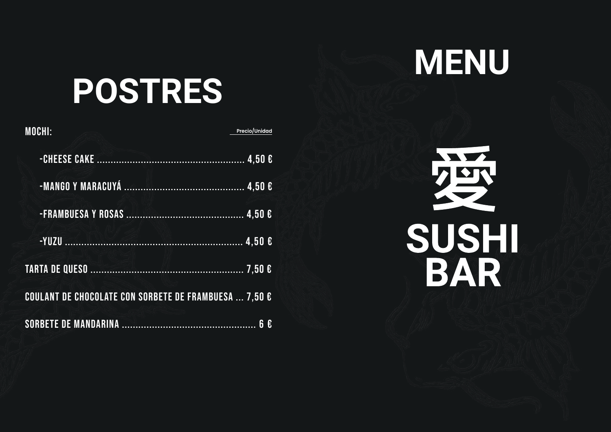

# **POSTRES**

| <b>MOCHI:</b>                                         | Precio/Unidad |
|-------------------------------------------------------|---------------|
|                                                       |               |
|                                                       |               |
|                                                       |               |
|                                                       |               |
|                                                       |               |
| COULANT DE CHOCOLATE CON SORBETE DE FRAMBUESA  7,50 € |               |
|                                                       |               |